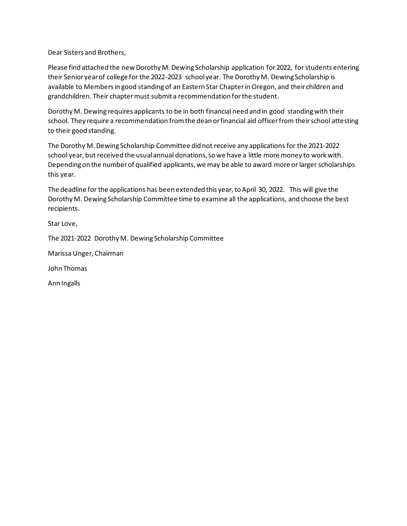Dear Sisters and Brothers,

Please find attached the new Dorothy M. Dewing Scholarship application for 2022, for students entering their Senior year of college for the 2022-2023 school year. The Dorothy M. Dewing Scholarship is available to Membersin good standing of an Eastern Star Chapter in Oregon, and their children and grandchildren. Their chapter must submit a recommendation for the student.

Dorothy M. Dewing requires applicants to be in both financial need and in good standing with their school. They require a recommendation from the dean or financial aid officer from their school attesting to their good standing.

The Dorothy M. Dewing Scholarship Committee did not receive any applications for the 2021-2022 school year, but received the usual annual donations, so we have a little more money to work with. Depending on the number of qualified applicants, we may be able to award more or larger scholarships this year.

The deadline for the applications has been extended this year, to April 30, 2022. This will give the Dorothy M. Dewing Scholarship Committee time to examine all the applications, and choose the best recipients.

Star Love,

The 2021-2022 Dorothy M. Dewing Scholarship Committee

Marissa Unger, Chairman

John Thomas

Ann Ingalls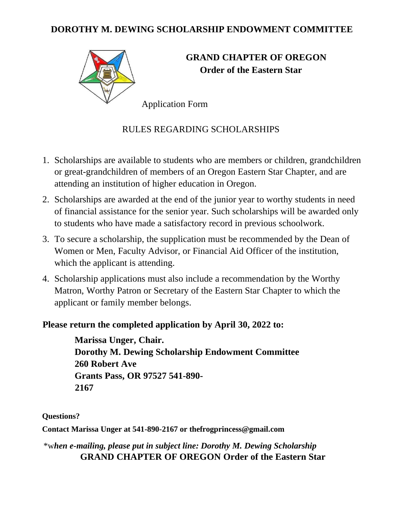### **DOROTHY M. DEWING SCHOLARSHIP ENDOWMENT COMMITTEE**



# **GRAND CHAPTER OF OREGON Order of the Eastern Star**

Application Form

## RULES REGARDING SCHOLARSHIPS

- 1. Scholarships are available to students who are members or children, grandchildren or great-grandchildren of members of an Oregon Eastern Star Chapter, and are attending an institution of higher education in Oregon.
- 2. Scholarships are awarded at the end of the junior year to worthy students in need of financial assistance for the senior year. Such scholarships will be awarded only to students who have made a satisfactory record in previous schoolwork.
- 3. To secure a scholarship, the supplication must be recommended by the Dean of Women or Men, Faculty Advisor, or Financial Aid Officer of the institution, which the applicant is attending.
- 4. Scholarship applications must also include a recommendation by the Worthy Matron, Worthy Patron or Secretary of the Eastern Star Chapter to which the applicant or family member belongs.

#### **Please return the completed application by April 30, 2022 to:**

**Marissa Unger, Chair. Dorothy M. Dewing Scholarship Endowment Committee 260 Robert Ave Grants Pass, OR 97527 541-890- 2167**

**Questions?** 

**Contact Marissa Unger at 541-890-2167 or thefrogprincess@gmail.com**

\*w*hen e-mailing, please put in subject line: Dorothy M. Dewing Scholarship* **GRAND CHAPTER OF OREGON Order of the Eastern Star**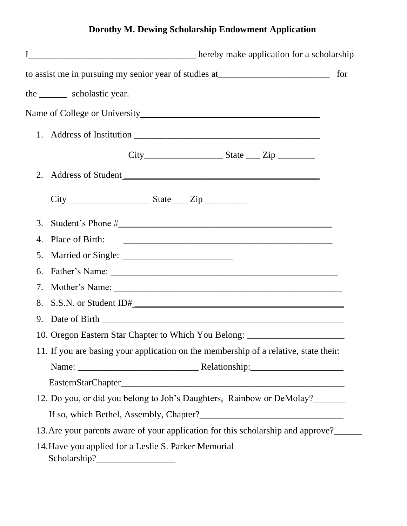# **Dorothy M. Dewing Scholarship Endowment Application**

|    | to assist me in pursuing my senior year of studies at____________________________      |  | for |
|----|----------------------------------------------------------------------------------------|--|-----|
|    | the ________ scholastic year.                                                          |  |     |
|    |                                                                                        |  |     |
|    | 1. Address of Institution                                                              |  |     |
|    |                                                                                        |  |     |
| 2. |                                                                                        |  |     |
|    | $City$ $City$ $State$ $Zip$                                                            |  |     |
| 3. |                                                                                        |  |     |
| 4. | Place of Birth:                                                                        |  |     |
| 5. |                                                                                        |  |     |
| 6. |                                                                                        |  |     |
| 7. |                                                                                        |  |     |
| 8. |                                                                                        |  |     |
| 9. |                                                                                        |  |     |
|    | 10. Oregon Eastern Star Chapter to Which You Belong: ___________________________       |  |     |
|    | 11. If you are basing your application on the membership of a relative, state their:   |  |     |
|    |                                                                                        |  |     |
|    |                                                                                        |  |     |
|    | 12. Do you, or did you belong to Job's Daughters, Rainbow or DeMolay?                  |  |     |
|    |                                                                                        |  |     |
|    | 13. Are your parents aware of your application for this scholarship and approve?______ |  |     |
|    | 14. Have you applied for a Leslie S. Parker Memorial                                   |  |     |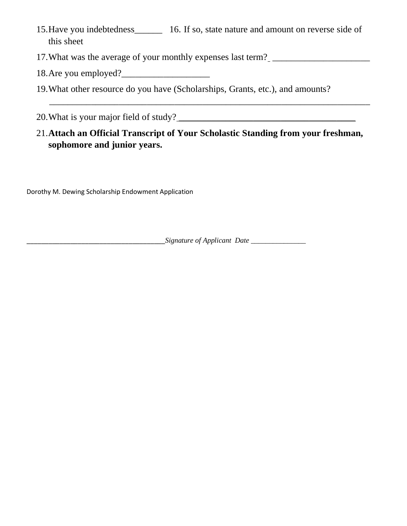- 15.Have you indebtedness\_\_\_\_\_\_ 16. If so, state nature and amount on reverse side of this sheet
- 17. What was the average of your monthly expenses last term? \_\_\_\_\_\_\_\_\_\_\_\_\_\_\_\_\_\_\_\_
- 18.Are you employed?\_\_\_\_\_\_\_\_\_\_\_\_\_\_\_\_\_\_\_
- 19.What other resource do you have (Scholarships, Grants, etc.), and amounts?

20. What is your major field of study?

## 21.**Attach an Official Transcript of Your Scholastic Standing from your freshman, sophomore and junior years.**

\_\_\_\_\_\_\_\_\_\_\_\_\_\_\_\_\_\_\_\_\_\_\_\_\_\_\_\_\_\_\_\_\_\_\_\_\_\_\_\_\_\_\_\_\_\_\_\_\_\_\_\_\_\_\_\_\_\_\_\_\_\_\_\_\_\_\_\_\_

Dorothy M. Dewing Scholarship Endowment Application

\_\_\_\_\_\_\_\_\_\_\_\_\_\_\_\_\_\_\_\_\_\_\_\_\_\_\_\_\_\_\_\_\_\_\_\_\_\_*Signature of Applicant Date* \_\_\_\_\_\_\_\_\_\_\_\_\_\_\_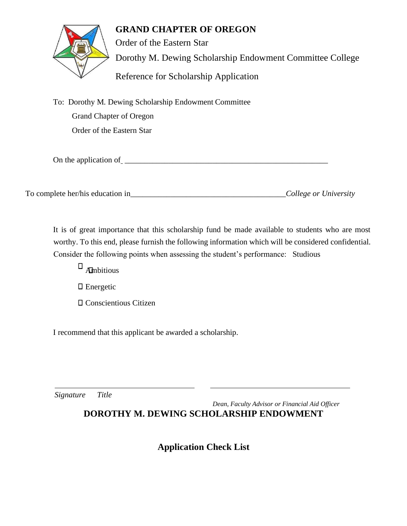#### **GRAND CHAPTER OF OREGON**



Order of the Eastern Star Dorothy M. Dewing Scholarship Endowment Committee College Reference for Scholarship Application

To: Dorothy M. Dewing Scholarship Endowment Committee Grand Chapter of Oregon Order of the Eastern Star

On the application of  $\overline{\phantom{a}}$ 

To complete her/his education in\_\_\_\_\_\_\_\_\_\_\_\_\_\_\_\_\_\_\_\_\_\_\_\_\_\_\_\_\_\_\_\_\_\_\_\_\_\_\_*College or University*

It is of great importance that this scholarship fund be made available to students who are most worthy. To this end, please furnish the following information which will be considered confidential. Consider the following points when assessing the student's performance: Studious

 $\Box$  Ambitious

□ Energetic

Conscientious Citizen

I recommend that this applicant be awarded a scholarship.

*Signature Title*

*Dean, Faculty Advisor or Financial Aid Officer*

## **DOROTHY M. DEWING SCHOLARSHIP ENDOWMENT**

## **Application Check List**